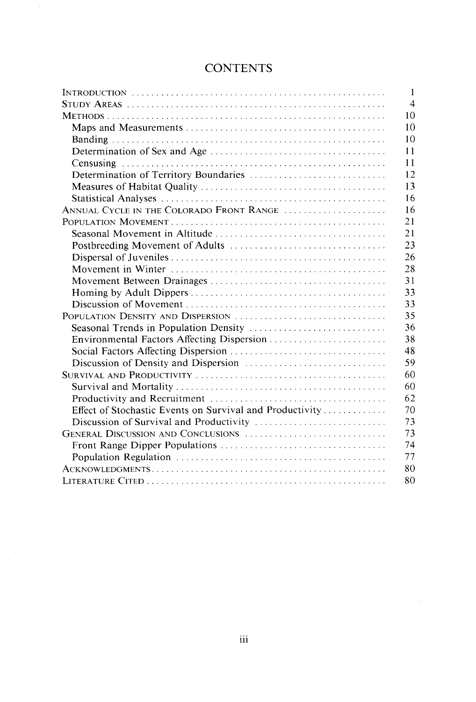|                                                          | $\mathbf{1}$   |
|----------------------------------------------------------|----------------|
|                                                          | $\overline{4}$ |
|                                                          | 10             |
|                                                          | 10             |
|                                                          | 10             |
|                                                          | 11             |
|                                                          | 11             |
|                                                          | 12             |
|                                                          | 13             |
|                                                          | 16             |
| ANNUAL CYCLE IN THE COLORADO FRONT RANGE                 | 16             |
|                                                          | 21             |
|                                                          | 21             |
|                                                          | 23             |
|                                                          | 26             |
|                                                          | 28             |
|                                                          | 31             |
|                                                          | 33             |
|                                                          | 33             |
| POPULATION DENSITY AND DISPERSION                        | 35             |
|                                                          | 36             |
|                                                          | 38             |
|                                                          | 48             |
|                                                          | 59             |
|                                                          | 60             |
|                                                          | 60             |
|                                                          | 62             |
| Effect of Stochastic Events on Survival and Productivity | 70             |
|                                                          | 73             |
| GENERAL DISCUSSION AND CONCLUSIONS                       | 73             |
|                                                          | 74             |
|                                                          | 77             |
|                                                          | 80             |
|                                                          | 80             |

## **CONTENTS**